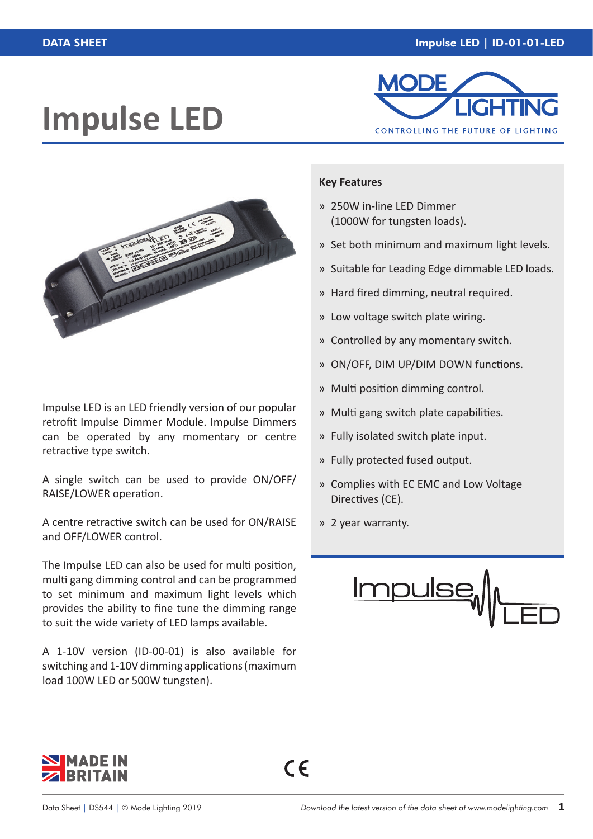# **Impulse LED**





Impulse LED is an LED friendly version of our popular retrofit Impulse Dimmer Module. Impulse Dimmers can be operated by any momentary or centre retractive type switch.

A single switch can be used to provide ON/OFF/ RAISE/LOWER operation.

A centre retractive switch can be used for ON/RAISE and OFF/LOWER control.

The Impulse LED can also be used for multi position, multi gang dimming control and can be programmed to set minimum and maximum light levels which provides the ability to fine tune the dimming range to suit the wide variety of LED lamps available.

A 1-10V version (ID-00-01) is also available for switching and 1-10V dimming applications (maximum load 100W LED or 500W tungsten).

#### **Key Features**

- » 250W in-line LED Dimmer (1000W for tungsten loads).
- » Set both minimum and maximum light levels.
- » Suitable for Leading Edge dimmable LED loads.
- » Hard fired dimming, neutral required.
- » Low voltage switch plate wiring.
- » Controlled by any momentary switch.
- » ON/OFF, DIM UP/DIM DOWN functions.
- » Multi position dimming control.
- » Multi gang switch plate capabilities.
- » Fully isolated switch plate input.
- » Fully protected fused output.
- » Complies with EC EMC and Low Voltage Directives (CE).
- » 2 year warranty.

 $C \in$